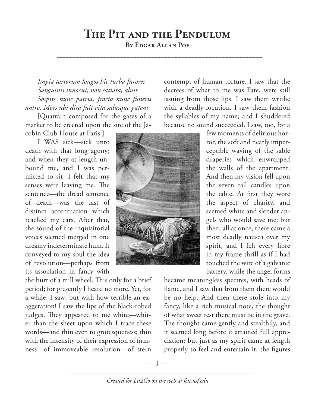## **The Pit and the Pendulum**

**By Edgar Allan Poe**

*Impia tortorum longos hic turba furores Sanguinis innocui, non satiata, aluit. Sospite nunc patria, fracto nunc funeris antro, Mors ubi dira fuit vita salusque patent.* 

[Quatrain composed for the gates of a market to be erected upon the site of the Jacobin Club House at Paris.]

I WAS sick—sick unto death with that long agony; and when they at length unbound me, and I was permitted to sit, I felt that my senses were leaving me. The sentence—the dread sentence of death—was the last of distinct accentuation which reached my ears. After that, the sound of the inquisitorial voices seemed merged in one dreamy indeterminate hum. It conveyed to my soul the idea of revolution—perhaps from its association in fancy with

the burr of a mill wheel. This only for a brief period; for presently I heard no more. Yet, for a while, I saw; but with how terrible an exaggeration! I saw the lips of the black-robed judges. They appeared to me white—whiter than the sheet upon which I trace these words—and thin even to grotesqueness; thin with the intensity of their expression of firmness—of immoveable resolution—of stern

contempt of human torture. I saw that the decrees of what to me was Fate, were still issuing from those lips. I saw them writhe with a deadly locution. I saw them fashion the syllables of my name; and I shuddered because no sound succeeded. I saw, too, for a

> few moments of delirious horror, the soft and nearly imperceptible waving of the sable draperies which enwrapped the walls of the apartment. And then my vision fell upon the seven tall candles upon the table. At first they wore the aspect of charity, and seemed white and slender angels who would save me; but then, all at once, there came a most deadly nausea over my spirit, and I felt every fibre in my frame thrill as if I had touched the wire of a galvanic battery, while the angel forms

became meaningless spectres, with heads of flame, and I saw that from them there would be no help. And then there stole into my fancy, like a rich musical note, the thought of what sweet rest there must be in the grave. The thought came gently and stealthily, and it seemed long before it attained full appreciation; but just as my spirit came at length properly to feel and entertain it, the figures

*Created for Lit2Go on the web at fcit.usf.edu*

 $-1-$ 

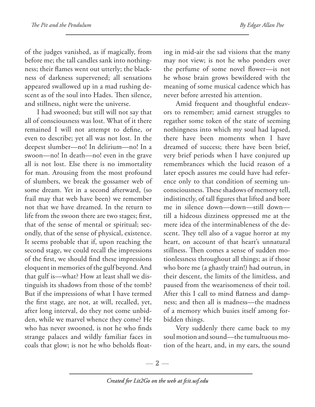of the judges vanished, as if magically, from before me; the tall candles sank into nothingness; their flames went out utterly; the blackness of darkness supervened; all sensations appeared swallowed up in a mad rushing descent as of the soul into Hades. Then silence, and stillness, night were the universe.

I had swooned; but still will not say that all of consciousness was lost. What of it there remained I will not attempt to define, or even to describe; yet all was not lost. In the deepest slumber—no! In delirium—no! In a swoon—no! In death—no! even in the grave all is not lost. Else there is no immortality for man. Arousing from the most profound of slumbers, we break the gossamer web of some dream. Yet in a second afterward, (so frail may that web have been) we remember not that we have dreamed. In the return to life from the swoon there are two stages; first, that of the sense of mental or spiritual; secondly, that of the sense of physical, existence. It seems probable that if, upon reaching the second stage, we could recall the impressions of the first, we should find these impressions eloquent in memories of the gulf beyond. And that gulf is—what? How at least shall we distinguish its shadows from those of the tomb? But if the impressions of what I have termed the first stage, are not, at will, recalled, yet, after long interval, do they not come unbidden, while we marvel whence they come? He who has never swooned, is not he who finds strange palaces and wildly familiar faces in coals that glow; is not he who beholds floating in mid-air the sad visions that the many may not view; is not he who ponders over the perfume of some novel flower—is not he whose brain grows bewildered with the meaning of some musical cadence which has never before arrested his attention.

Amid frequent and thoughtful endeavors to remember; amid earnest struggles to regather some token of the state of seeming nothingness into which my soul had lapsed, there have been moments when I have dreamed of success; there have been brief, very brief periods when I have conjured up remembrances which the lucid reason of a later epoch assures me could have had reference only to that condition of seeming unconsciousness. These shadows of memory tell, indistinctly, of tall figures that lifted and bore me in silence down—down—still down till a hideous dizziness oppressed me at the mere idea of the interminableness of the descent. They tell also of a vague horror at my heart, on account of that heart's unnatural stillness. Then comes a sense of sudden motionlessness throughout all things; as if those who bore me (a ghastly train!) had outrun, in their descent, the limits of the limitless, and paused from the wearisomeness of their toil. After this I call to mind flatness and dampness; and then all is madness—the madness of a memory which busies itself among forbidden things.

Very suddenly there came back to my soul motion and sound—the tumultuous motion of the heart, and, in my ears, the sound

— 2 —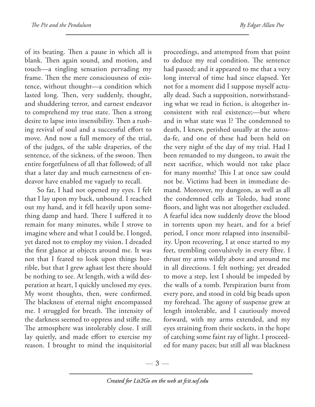of its beating. Then a pause in which all is blank. Then again sound, and motion, and touch—a tingling sensation pervading my frame. Then the mere consciousness of existence, without thought—a condition which lasted long. Then, very suddenly, thought, and shuddering terror, and earnest endeavor to comprehend my true state. Then a strong desire to lapse into insensibility. Then a rushing revival of soul and a successful effort to move. And now a full memory of the trial, of the judges, of the sable draperies, of the sentence, of the sickness, of the swoon. Then entire forgetfulness of all that followed; of all that a later day and much earnestness of endeavor have enabled me vaguely to recall.

So far, I had not opened my eyes. I felt that I lay upon my back, unbound. I reached out my hand, and it fell heavily upon something damp and hard. There I suffered it to remain for many minutes, while I strove to imagine where and what I could be. I longed, yet dared not to employ my vision. I dreaded the first glance at objects around me. It was not that I feared to look upon things horrible, but that I grew aghast lest there should be nothing to see. At length, with a wild desperation at heart, I quickly unclosed my eyes. My worst thoughts, then, were confirmed. The blackness of eternal night encompassed me. I struggled for breath. The intensity of the darkness seemed to oppress and stifle me. The atmosphere was intolerably close. I still lay quietly, and made effort to exercise my reason. I brought to mind the inquisitorial

proceedings, and attempted from that point to deduce my real condition. The sentence had passed; and it appeared to me that a very long interval of time had since elapsed. Yet not for a moment did I suppose myself actually dead. Such a supposition, notwithstanding what we read in fiction, is altogether inconsistent with real existence;—but where and in what state was I? The condemned to death, I knew, perished usually at the autosda-fe, and one of these had been held on the very night of the day of my trial. Had I been remanded to my dungeon, to await the next sacrifice, which would not take place for many months? This I at once saw could not be. Victims had been in immediate demand. Moreover, my dungeon, as well as all the condemned cells at Toledo, had stone floors, and light was not altogether excluded. A fearful idea now suddenly drove the blood in torrents upon my heart, and for a brief period, I once more relapsed into insensibility. Upon recovering, I at once started to my feet, trembling convulsively in every fibre. I thrust my arms wildly above and around me in all directions. I felt nothing; yet dreaded to move a step, lest I should be impeded by the walls of a tomb. Perspiration burst from every pore, and stood in cold big beads upon my forehead. The agony of suspense grew at length intolerable, and I cautiously moved forward, with my arms extended, and my eyes straining from their sockets, in the hope of catching some faint ray of light. I proceeded for many paces; but still all was blackness

 $-3-$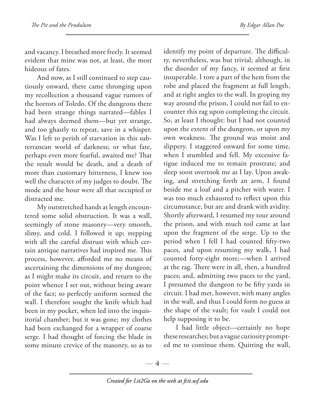and vacancy. I breathed more freely. It seemed evident that mine was not, at least, the most hideous of fates.

And now, as I still continued to step cautiously onward, there came thronging upon my recollection a thousand vague rumors of the horrors of Toledo. Of the dungeons there had been strange things narrated—fables I had always deemed them—but yet strange, and too ghastly to repeat, save in a whisper. Was I left to perish of starvation in this subterranean world of darkness; or what fate, perhaps even more fearful, awaited me? That the result would be death, and a death of more than customary bitterness, I knew too well the character of my judges to doubt. The mode and the hour were all that occupied or distracted me.

My outstretched hands at length encountered some solid obstruction. It was a wall, seemingly of stone masonry—very smooth, slimy, and cold. I followed it up; stepping with all the careful distrust with which certain antique narratives had inspired me. This process, however, afforded me no means of ascertaining the dimensions of my dungeon; as I might make its circuit, and return to the point whence I set out, without being aware of the fact; so perfectly uniform seemed the wall. I therefore sought the knife which had been in my pocket, when led into the inquisitorial chamber; but it was gone; my clothes had been exchanged for a wrapper of coarse serge. I had thought of forcing the blade in some minute crevice of the masonry, so as to

identify my point of departure. The difficulty, nevertheless, was but trivial; although, in the disorder of my fancy, it seemed at first insuperable. I tore a part of the hem from the robe and placed the fragment at full length, and at right angles to the wall. In groping my way around the prison, I could not fail to encounter this rag upon completing the circuit. So, at least I thought: but I had not counted upon the extent of the dungeon, or upon my own weakness. The ground was moist and slippery. I staggered onward for some time, when I stumbled and fell. My excessive fatigue induced me to remain prostrate; and sleep soon overtook me as I lay. Upon awaking, and stretching forth an arm, I found beside me a loaf and a pitcher with water. I was too much exhausted to reflect upon this circumstance, but ate and drank with avidity. Shortly afterward, I resumed my tour around the prison, and with much toil came at last upon the fragment of the serge. Up to the period when I fell I had counted fifty-two paces, and upon resuming my walk, I had counted forty-eight more;—when I arrived at the rag. There were in all, then, a hundred paces; and, admitting two paces to the yard, I presumed the dungeon to be fifty yards in circuit. I had met, however, with many angles in the wall, and thus I could form no guess at the shape of the vault; for vault I could not help supposing it to be.

I had little object—certainly no hope these researches; but a vague curiosity prompted me to continue them. Quitting the wall,

 $-4-$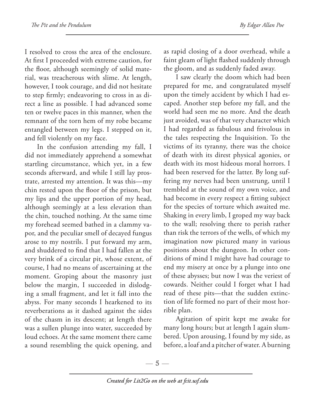I resolved to cross the area of the enclosure. At first I proceeded with extreme caution, for the floor, although seemingly of solid material, was treacherous with slime. At length, however, I took courage, and did not hesitate to step firmly; endeavoring to cross in as direct a line as possible. I had advanced some ten or twelve paces in this manner, when the remnant of the torn hem of my robe became entangled between my legs. I stepped on it, and fell violently on my face.

In the confusion attending my fall, I did not immediately apprehend a somewhat startling circumstance, which yet, in a few seconds afterward, and while I still lay prostrate, arrested my attention. It was this—my chin rested upon the floor of the prison, but my lips and the upper portion of my head, although seemingly at a less elevation than the chin, touched nothing. At the same time my forehead seemed bathed in a clammy vapor, and the peculiar smell of decayed fungus arose to my nostrils. I put forward my arm, and shuddered to find that I had fallen at the very brink of a circular pit, whose extent, of course, I had no means of ascertaining at the moment. Groping about the masonry just below the margin, I succeeded in dislodging a small fragment, and let it fall into the abyss. For many seconds I hearkened to its reverberations as it dashed against the sides of the chasm in its descent; at length there was a sullen plunge into water, succeeded by loud echoes. At the same moment there came a sound resembling the quick opening, and

as rapid closing of a door overhead, while a faint gleam of light flashed suddenly through the gloom, and as suddenly faded away.

I saw clearly the doom which had been prepared for me, and congratulated myself upon the timely accident by which I had escaped. Another step before my fall, and the world had seen me no more. And the death just avoided, was of that very character which I had regarded as fabulous and frivolous in the tales respecting the Inquisition. To the victims of its tyranny, there was the choice of death with its direst physical agonies, or death with its most hideous moral horrors. I had been reserved for the latter. By long suffering my nerves had been unstrung, until I trembled at the sound of my own voice, and had become in every respect a fitting subject for the species of torture which awaited me. Shaking in every limb, I groped my way back to the wall; resolving there to perish rather than risk the terrors of the wells, of which my imagination now pictured many in various positions about the dungeon. In other conditions of mind I might have had courage to end my misery at once by a plunge into one of these abysses; but now I was the veriest of cowards. Neither could I forget what I had read of these pits—that the sudden extinction of life formed no part of their most horrible plan.

Agitation of spirit kept me awake for many long hours; but at length I again slumbered. Upon arousing, I found by my side, as before, a loaf and a pitcher of water. A burning

 $-5-$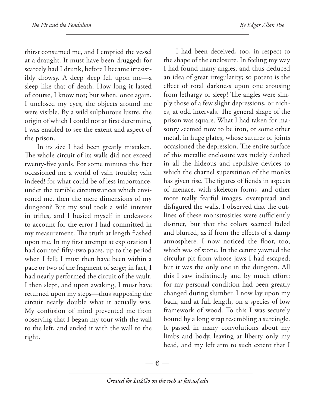thirst consumed me, and I emptied the vessel at a draught. It must have been drugged; for scarcely had I drunk, before I became irresistibly drowsy. A deep sleep fell upon me—a sleep like that of death. How long it lasted of course, I know not; but when, once again, I unclosed my eyes, the objects around me were visible. By a wild sulphurous lustre, the origin of which I could not at first determine, I was enabled to see the extent and aspect of the prison.

In its size I had been greatly mistaken. The whole circuit of its walls did not exceed twenty-five yards. For some minutes this fact occasioned me a world of vain trouble; vain indeed! for what could be of less importance, under the terrible circumstances which environed me, then the mere dimensions of my dungeon? But my soul took a wild interest in trifles, and I busied myself in endeavors to account for the error I had committed in my measurement. The truth at length flashed upon me. In my first attempt at exploration I had counted fifty-two paces, up to the period when I fell; I must then have been within a pace or two of the fragment of serge; in fact, I had nearly performed the circuit of the vault. I then slept, and upon awaking, I must have returned upon my steps—thus supposing the circuit nearly double what it actually was. My confusion of mind prevented me from observing that I began my tour with the wall to the left, and ended it with the wall to the right.

I had been deceived, too, in respect to the shape of the enclosure. In feeling my way I had found many angles, and thus deduced an idea of great irregularity; so potent is the effect of total darkness upon one arousing from lethargy or sleep! The angles were simply those of a few slight depressions, or niches, at odd intervals. The general shape of the prison was square. What I had taken for masonry seemed now to be iron, or some other metal, in huge plates, whose sutures or joints occasioned the depression. The entire surface of this metallic enclosure was rudely daubed in all the hideous and repulsive devices to which the charnel superstition of the monks has given rise. The figures of fiends in aspects of menace, with skeleton forms, and other more really fearful images, overspread and disfigured the walls. I observed that the outlines of these monstrosities were sufficiently distinct, but that the colors seemed faded and blurred, as if from the effects of a damp atmosphere. I now noticed the floor, too, which was of stone. In the centre yawned the circular pit from whose jaws I had escaped; but it was the only one in the dungeon. All this I saw indistinctly and by much effort: for my personal condition had been greatly changed during slumber. I now lay upon my back, and at full length, on a species of low framework of wood. To this I was securely bound by a long strap resembling a surcingle. It passed in many convolutions about my limbs and body, leaving at liberty only my head, and my left arm to such extent that I

—  $6-$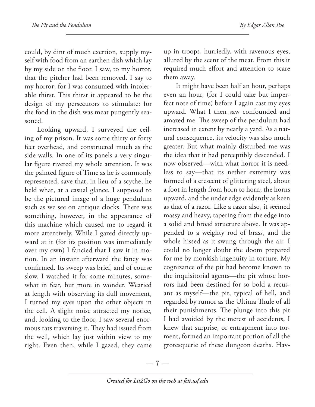could, by dint of much exertion, supply myself with food from an earthen dish which lay by my side on the floor. I saw, to my horror, that the pitcher had been removed. I say to my horror; for I was consumed with intolerable thirst. This thirst it appeared to be the design of my persecutors to stimulate: for the food in the dish was meat pungently seasoned.

Looking upward, I surveyed the ceiling of my prison. It was some thirty or forty feet overhead, and constructed much as the side walls. In one of its panels a very singular figure riveted my whole attention. It was the painted figure of Time as he is commonly represented, save that, in lieu of a scythe, he held what, at a casual glance, I supposed to be the pictured image of a huge pendulum such as we see on antique clocks. There was something, however, in the appearance of this machine which caused me to regard it more attentively. While I gazed directly upward at it (for its position was immediately over my own) I fancied that I saw it in motion. In an instant afterward the fancy was confirmed. Its sweep was brief, and of course slow. I watched it for some minutes, somewhat in fear, but more in wonder. Wearied at length with observing its dull movement, I turned my eyes upon the other objects in the cell. A slight noise attracted my notice, and, looking to the floor, I saw several enormous rats traversing it. They had issued from the well, which lay just within view to my right. Even then, while I gazed, they came

up in troops, hurriedly, with ravenous eyes, allured by the scent of the meat. From this it required much effort and attention to scare them away.

It might have been half an hour, perhaps even an hour, (for I could take but imperfect note of time) before I again cast my eyes upward. What I then saw confounded and amazed me. The sweep of the pendulum had increased in extent by nearly a yard. As a natural consequence, its velocity was also much greater. But what mainly disturbed me was the idea that it had perceptibly descended. I now observed—with what horror it is needless to say—that its nether extremity was formed of a crescent of glittering steel, about a foot in length from horn to horn; the horns upward, and the under edge evidently as keen as that of a razor. Like a razor also, it seemed massy and heavy, tapering from the edge into a solid and broad structure above. It was appended to a weighty rod of brass, and the whole hissed as it swung through the air. I could no longer doubt the doom prepared for me by monkish ingenuity in torture. My cognizance of the pit had become known to the inquisitorial agents—the pit whose horrors had been destined for so bold a recusant as myself—the pit, typical of hell, and regarded by rumor as the Ultima Thule of all their punishments. The plunge into this pit I had avoided by the merest of accidents, I knew that surprise, or entrapment into torment, formed an important portion of all the grotesquerie of these dungeon deaths. Hav-

 $-7-$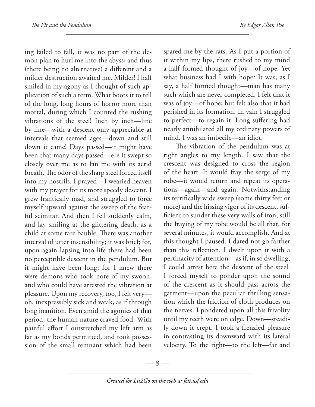ing failed to fall, it was no part of the demon plan to hurl me into the abyss; and thus (there being no alternative) a different and a milder destruction awaited me. Milder! I half smiled in my agony as I thought of such application of such a term. What boots it to tell of the long, long hours of horror more than mortal, during which I counted the rushing vibrations of the steel! Inch by inch—line by line—with a descent only appreciable at intervals that seemed ages—down and still down it came! Days passed—it might have been that many days passed—ere it swept so closely over me as to fan me with its acrid breath. The odor of the sharp steel forced itself into my nostrils. I prayed—I wearied heaven with my prayer for its more speedy descent. I grew frantically mad, and struggled to force myself upward against the sweep of the fearful scimitar. And then I fell suddenly calm, and lay smiling at the glittering death, as a child at some rare bauble. There was another interval of utter insensibility; it was brief; for, upon again lapsing into life there had been no perceptible descent in the pendulum. But it might have been long; for I knew there were demons who took note of my swoon, and who could have arrested the vibration at pleasure. Upon my recovery, too, I felt very oh, inexpressibly sick and weak, as if through long inanition. Even amid the agonies of that period, the human nature craved food. With painful effort I outstretched my left arm as far as my bonds permitted, and took possession of the small remnant which had been

spared me by the rats. As I put a portion of it within my lips, there rushed to my mind a half formed thought of joy—of hope. Yet what business had I with hope? It was, as I say, a half formed thought—man has many such which are never completed. I felt that it was of joy—of hope; but felt also that it had perished in its formation. In vain I struggled to perfect—to regain it. Long suffering had nearly annihilated all my ordinary powers of mind. I was an imbecile—an idiot.

The vibration of the pendulum was at right angles to my length. I saw that the crescent was designed to cross the region of the heart. It would fray the serge of my robe—it would return and repeat its operations—again—and again. Notwithstanding its terrifically wide sweep (some thirty feet or more) and the hissing vigor of its descent, sufficient to sunder these very walls of iron, still the fraying of my robe would be all that, for several minutes, it would accomplish. And at this thought I paused. I dared not go farther than this reflection. I dwelt upon it with a pertinacity of attention—as if, in so dwelling, I could arrest here the descent of the steel. I forced myself to ponder upon the sound of the crescent as it should pass across the garment—upon the peculiar thrilling sensation which the friction of cloth produces on the nerves. I pondered upon all this frivolity until my teeth were on edge. Down—steadily down it crept. I took a frenzied pleasure in contrasting its downward with its lateral velocity. To the right—to the left—far and

 $-8-$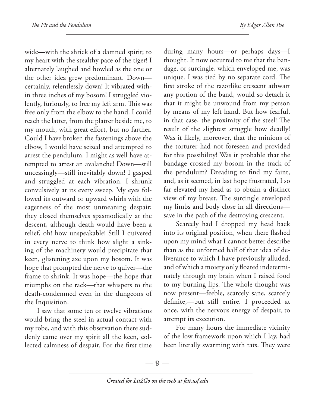wide—with the shriek of a damned spirit; to my heart with the stealthy pace of the tiger! I alternately laughed and howled as the one or the other idea grew predominant. Down certainly, relentlessly down! It vibrated within three inches of my bosom! I struggled violently, furiously, to free my left arm. This was free only from the elbow to the hand. I could reach the latter, from the platter beside me, to my mouth, with great effort, but no farther. Could I have broken the fastenings above the elbow, I would have seized and attempted to arrest the pendulum. I might as well have attempted to arrest an avalanche! Down—still unceasingly—still inevitably down! I gasped and struggled at each vibration. I shrunk convulsively at its every sweep. My eyes followed its outward or upward whirls with the eagerness of the most unmeaning despair; they closed themselves spasmodically at the descent, although death would have been a relief, oh! how unspeakable! Still I quivered in every nerve to think how slight a sinking of the machinery would precipitate that keen, glistening axe upon my bosom. It was hope that prompted the nerve to quiver—the frame to shrink. It was hope—the hope that triumphs on the rack—that whispers to the death-condemned even in the dungeons of the Inquisition.

I saw that some ten or twelve vibrations would bring the steel in actual contact with my robe, and with this observation there suddenly came over my spirit all the keen, collected calmness of despair. For the first time

during many hours—or perhaps days—I thought. It now occurred to me that the bandage, or surcingle, which enveloped me, was unique. I was tied by no separate cord. The first stroke of the razorlike crescent athwart any portion of the band, would so detach it that it might be unwound from my person by means of my left hand. But how fearful, in that case, the proximity of the steel! The result of the slightest struggle how deadly! Was it likely, moreover, that the minions of the torturer had not foreseen and provided for this possibility! Was it probable that the bandage crossed my bosom in the track of the pendulum? Dreading to find my faint, and, as it seemed, in last hope frustrated, I so far elevated my head as to obtain a distinct view of my breast. The surcingle enveloped my limbs and body close in all directions save in the path of the destroying crescent.

Scarcely had I dropped my head back into its original position, when there flashed upon my mind what I cannot better describe than as the unformed half of that idea of deliverance to which I have previously alluded, and of which a moiety only floated indeterminately through my brain when I raised food to my burning lips. The whole thought was now present—feeble, scarcely sane, scarcely definite,—but still entire. I proceeded at once, with the nervous energy of despair, to attempt its execution.

For many hours the immediate vicinity of the low framework upon which I lay, had been literally swarming with rats. They were

 $-9-$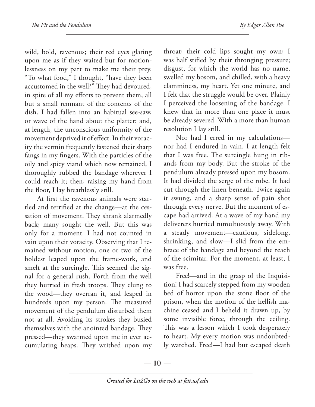wild, bold, ravenous; their red eyes glaring upon me as if they waited but for motionlessness on my part to make me their prey. "To what food," I thought, "have they been accustomed in the well?" They had devoured, in spite of all my efforts to prevent them, all but a small remnant of the contents of the dish. I had fallen into an habitual see-saw, or wave of the hand about the platter: and, at length, the unconscious uniformity of the movement deprived it of effect. In their voracity the vermin frequently fastened their sharp fangs in my fingers. With the particles of the oily and spicy viand which now remained, I thoroughly rubbed the bandage wherever I could reach it; then, raising my hand from the floor, I lay breathlessly still.

At first the ravenous animals were startled and terrified at the change—at the cessation of movement. They shrank alarmedly back; many sought the well. But this was only for a moment. I had not counted in vain upon their voracity. Observing that I remained without motion, one or two of the boldest leaped upon the frame-work, and smelt at the surcingle. This seemed the signal for a general rush. Forth from the well they hurried in fresh troops. They clung to the wood—they overran it, and leaped in hundreds upon my person. The measured movement of the pendulum disturbed them not at all. Avoiding its strokes they busied themselves with the anointed bandage. They pressed—they swarmed upon me in ever accumulating heaps. They writhed upon my

throat; their cold lips sought my own; I was half stifled by their thronging pressure; disgust, for which the world has no name, swelled my bosom, and chilled, with a heavy clamminess, my heart. Yet one minute, and I felt that the struggle would be over. Plainly I perceived the loosening of the bandage. I knew that in more than one place it must be already severed. With a more than human resolution I lay still.

Nor had I erred in my calculations nor had I endured in vain. I at length felt that I was free. The surcingle hung in ribands from my body. But the stroke of the pendulum already pressed upon my bosom. It had divided the serge of the robe. It had cut through the linen beneath. Twice again it swung, and a sharp sense of pain shot through every nerve. But the moment of escape had arrived. At a wave of my hand my deliverers hurried tumultuously away. With a steady movement—cautious, sidelong, shrinking, and slow—I slid from the embrace of the bandage and beyond the reach of the scimitar. For the moment, at least, I was free.

Free!—and in the grasp of the Inquisition! I had scarcely stepped from my wooden bed of horror upon the stone floor of the prison, when the motion of the hellish machine ceased and I beheld it drawn up, by some invisible force, through the ceiling. This was a lesson which I took desperately to heart. My every motion was undoubtedly watched. Free!—I had but escaped death

—  $10-$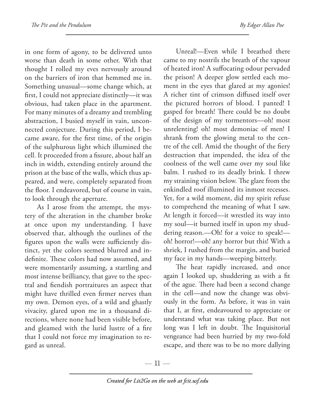in one form of agony, to be delivered unto worse than death in some other. With that thought I rolled my eves nervously around on the barriers of iron that hemmed me in. Something unusual—some change which, at first, I could not appreciate distinctly—it was obvious, had taken place in the apartment. For many minutes of a dreamy and trembling abstraction, I busied myself in vain, unconnected conjecture. During this period, I became aware, for the first time, of the origin of the sulphurous light which illumined the cell. It proceeded from a fissure, about half an inch in width, extending entirely around the prison at the base of the walls, which thus appeared, and were, completely separated from the floor. I endeavored, but of course in vain, to look through the aperture.

As I arose from the attempt, the mystery of the alteration in the chamber broke at once upon my understanding. I have observed that, although the outlines of the figures upon the walls were sufficiently distinct, yet the colors seemed blurred and indefinite. These colors had now assumed, and were momentarily assuming, a startling and most intense brilliancy, that gave to the spectral and fiendish portraitures an aspect that might have thrilled even firmer nerves than my own. Demon eyes, of a wild and ghastly vivacity, glared upon me in a thousand directions, where none had been visible before, and gleamed with the lurid lustre of a fire that I could not force my imagination to regard as unreal.

Unreal!—Even while I breathed there came to my nostrils the breath of the vapour of heated iron! A suffocating odour pervaded the prison! A deeper glow settled each moment in the eyes that glared at my agonies! A richer tint of crimson diffused itself over the pictured horrors of blood. I panted! I gasped for breath! There could be no doubt of the design of my tormentors—oh! most unrelenting! oh! most demoniac of men! I shrank from the glowing metal to the centre of the cell. Amid the thought of the fiery destruction that impended, the idea of the coolness of the well came over my soul like balm. I rushed to its deadly brink. I threw my straining vision below. The glare from the enkindled roof illumined its inmost recesses. Yet, for a wild moment, did my spirit refuse to comprehend the meaning of what I saw. At length it forced—it wrestled its way into my soul—it burned itself in upon my shuddering reason.—Oh! for a voice to speak! oh! horror!—oh! any horror but this! With a shriek, I rushed from the margin, and buried my face in my hands—weeping bitterly.

The heat rapidly increased, and once again I looked up, shuddering as with a fit of the ague. There had been a second change in the cell—and now the change was obviously in the form. As before, it was in vain that I, at first, endeavoured to appreciate or understand what was taking place. But not long was I left in doubt. The Inquisitorial vengeance had been hurried by my two-fold escape, and there was to be no more dallying

— 11 —